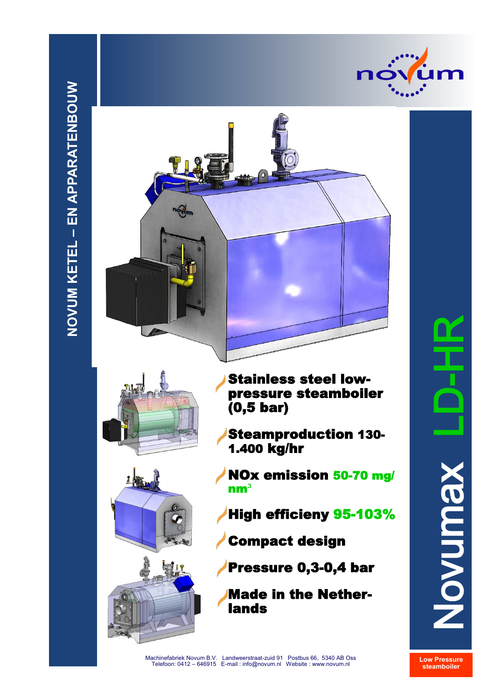



Made in the Netherlands

# Novumax LD-HR Novumax

**Low Pressure steamboiler**